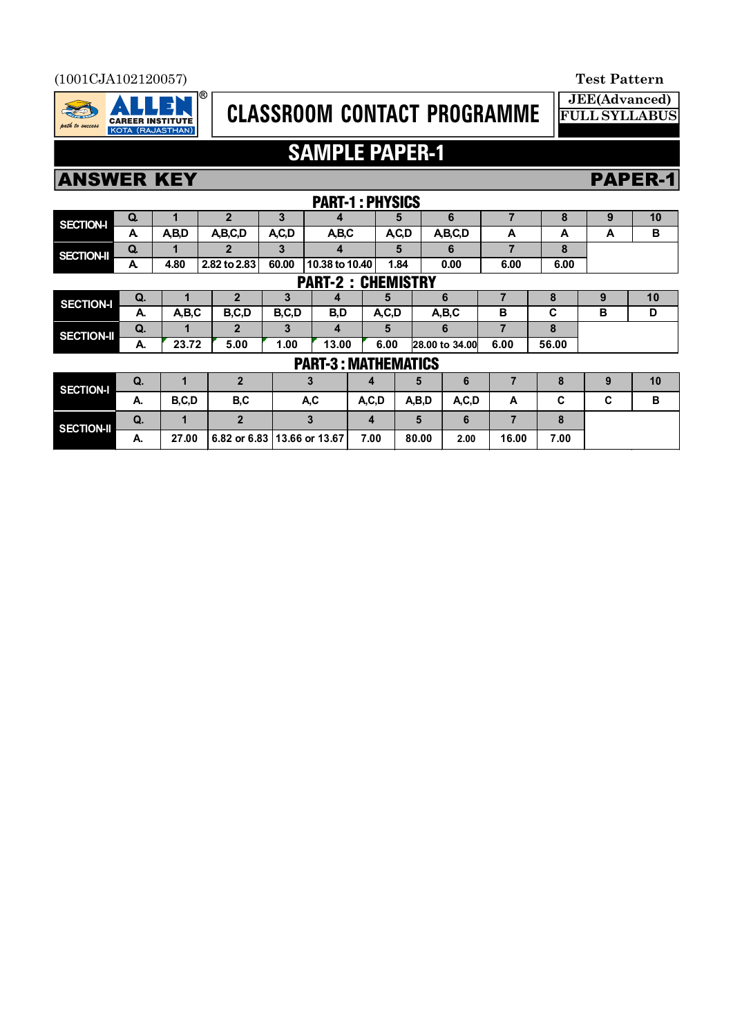### (1001CJA102120057) **Test Pattern**



# **CLASSROOM CONTACT PROGRAMME**

**JEE(Advanced) FULL SYLLABUS**

# **SAMPLE PAPER-1**

## ANSWER KEY PAPER-1

|                            | PARI-1 : PHYSIUS                   |                  |                |                             |                |      |         |                |         |       |       |   |    |  |
|----------------------------|------------------------------------|------------------|----------------|-----------------------------|----------------|------|---------|----------------|---------|-------|-------|---|----|--|
| <b>SECTION-I</b>           | Q.                                 | $\mathbf{2}$     |                | 3                           | 4              |      | 5       |                | 6       |       | 8     | 9 | 10 |  |
|                            | A                                  | A,B,D<br>A,B,C,D |                | A,C,D                       | A,B,C          |      | A,C,D   |                | A,B,C,D | A     | A     | A | в  |  |
| <b>SECTION-II</b>          | Q.                                 | 1                | $\mathbf{2}$   |                             | 4              |      | 5       |                | 6       | 7     | 8     |   |    |  |
|                            | A                                  | 4.80             | 2.82 to 2.83   | 60.00                       | 10.38 to 10.40 |      | 1.84    |                | 0.00    | 6.00  | 6.00  |   |    |  |
|                            | <b>PART-2:</b><br><b>CHEMISTRY</b> |                  |                |                             |                |      |         |                |         |       |       |   |    |  |
| <b>SECTION-I</b>           | Q.                                 |                  | 2              | 3                           | 4              |      | 5       |                | 6       |       | 8     | 9 | 10 |  |
|                            | А.                                 | A,B,C            | B,C,D          | B,C,D                       | B,D            |      | A, C, D |                | A,B,C   | В     | C     | в | D  |  |
| <b>SECTION-II</b>          | Q.                                 |                  | 2              | 3                           | 4              |      | 5       | 6              |         | 7     | 8     |   |    |  |
|                            | А.                                 | 23.72            | 5.00           | 1.00                        | 13.00          |      | 6.00    | 28.00 to 34.00 |         | 6.00  | 56.00 |   |    |  |
| <b>PART-3: MATHEMATICS</b> |                                    |                  |                |                             |                |      |         |                |         |       |       |   |    |  |
| <b>SECTION-I</b>           | Q.                                 | 1                | $\overline{2}$ | 3                           |                | 4    |         | 5              | 6       |       | 8     | 9 | 10 |  |
|                            | А.                                 | B,C,D            | B,C            |                             | A,C            |      | A, C, D | A,B,D          | A, C, D | A     | C     | C | в  |  |
| <b>SECTION-II</b>          | Q.                                 | 1                | $\overline{2}$ |                             | 3              | 4    |         | 5              | 6       | 7     | 8     |   |    |  |
|                            | А.                                 | 27.00            |                | 6.82 or 6.83 13.66 or 13.67 |                | 7.00 |         | 80.00          | 2.00    | 16.00 | 7.00  |   |    |  |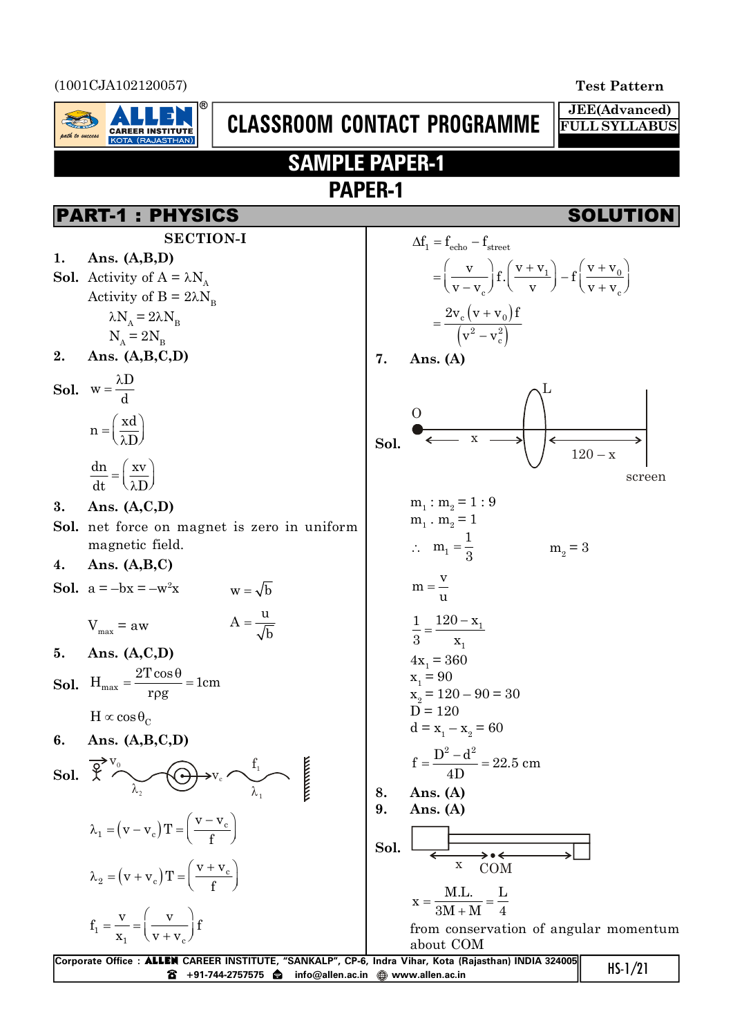(1001CJA102120057) **Test Pattern**

ath to success

**CAREER INSTITUTE** 



**JEE(Advanced) FULL SYLLABUS**

# **SAMPLE PAPER-1 PAPER-1**

**CLASSROOM CONTACT PROGRAMME**

## PART-1 : PHYSICS SOLUTION

**SECTION-I 1. Ans. (A,B,D) Sol.** Activity of  $A = \lambda N_A$ Activity of  $B = 2\lambda N_B$  $\lambda$ N<sub>A</sub> = 2 $\lambda$ N<sub>B</sub>  $N_A = 2N_B$ **2. Ans. (A,B,C,D) Sol.**  $w = \frac{\lambda D}{\lambda}$ d  $=\frac{\lambda}{\lambda}$  $n = \frac{xd}{n}$ D  $=\left(\frac{xd}{\lambda D}\right)^{n}$ dn xv dt \λD  $=\left(\frac{\text{xy}}{\lambda \text{D}}\right)$ **3. Ans. (A,C,D) Sol.** net force on magnet is zero in uniform magnetic field. **4. Ans. (A,B,C) Sol.**  $a = -bx = -w^2x$   $w = \sqrt{b}$  $V_{\text{max}} = aw$  $A = \frac{u}{\epsilon}$ b  $=$ **5. Ans. (A,C,D) Sol.**  $H_{\text{max}} = \frac{2T \cos \theta}{R} = 1 \text{cm}$ rpg  $=\frac{2T\cos\theta}{2}$  $\rho$  $H \propto \cos \theta_C$ **6. Ans. (A,B,C,D)** Sol.  $\mathfrak{X} \sim \sim$  $\lambda_{_1}$  $V_0$   $\bigcap$   $f_1$  $\lambda_{_2}$  $v_1 = (v - v_c)T = \frac{v - v_c}{f}$ f  $\lambda_1 = (v - v_c) T = \left(\frac{v - v_c}{f}\right)^2$  $v_2 = (v + v_c)T = \frac{v + v_c}{c}$ f  $\lambda_2 = (v + v_c) T = \left(\frac{v + v_c}{f}\right)^2$ 1  $_1$  ( $\mathbf{v}$  +  $\mathbf{v}_c$  $f_1 = \frac{v}{v} = \left(\frac{v}{v}\right)$  $x_1 \quad \bigvee v + v$  $(y)$  $=\frac{v}{x_1}=\left(\frac{v}{v+v_c}\right)$  f  $\Delta f_1 = f_{\text{echo}} - f_{\text{street}}$  $1 \mid f|^{V \top V}$  $_{c}$  ( $\vee$   $\vee$   $\vee$   $\vee$   $\vee$   $\vee$   $_{c}$  $\left[\frac{v}{f}\right]$  f.  $\left(\frac{v + v_1}{f}\right) - f\left(\frac{v + v_2}{f}\right)$  $v-v_c$ <sup>v</sup> v  $(v+v_c)$  $\begin{pmatrix} v \\ v \end{pmatrix}$   $\begin{pmatrix} v+v_1 \\ v \end{pmatrix}$   $\begin{pmatrix} v+v_0 \\ v \end{pmatrix}$  $=\left(\frac{v}{v-v_c}\right) f\left(\frac{v+v_1}{v}\right) - f\left(\frac{v+v_0}{v+v_c}\right)$  $(v + v_0)$  $\left(\mathrm{v}^2-\mathrm{v}_{\mathrm{c}}^2\right)$  $_{c}$  (  $\mathsf{v}$   $\mathsf{\tau}$   $\mathsf{v}_{0}$  $^{2} - v_c^{2}$  $2v_c (v + v_0) f$  $v^2 - v$  $\overline{+}$  $=$  $\overline{a}$ **7. Ans. (A) Sol.**  $\Omega$ x L  $120 - x$ screen  $m_1 : m_2 = 1 : 9$  $m_1 \cdot m_2 = 1$  $\therefore$  m<sub>1</sub>  $m_1 = \frac{1}{2}$  $=\frac{1}{3}$  m<sub>2</sub>  $m_{\circ} = 3$  $m = \frac{v}{v}$ u  $=$ 1 1 1  $120 - x$ 3 x  $=\frac{120-}{ }$  $4x_1 = 360$  $x_1 = 90$  $x_2 = 120 - 90 = 30$  $\vec{D} = 120$  $d = x_1 - x_2 = 60$  $f = \frac{D^2 - d^2}{D} = 22.5$  cm 4D  $=\frac{D^2-}{\sqrt{2}}$ **8. Ans. (A) 9. Ans. (A) Sol.**  $\rightarrow \bullet \leftarrow$ <br>COM  $x = \frac{M.L.}{2M.H.} = \frac{L}{L}$  $3M + M$  4  $=$  $\overline{+}$ from conservation of angular momentum about COM

| Corporate Office:ALLEN CAREER INSTITUTE, "SANKALP", CP-6, Indra Vihar, Kota (Rajasthan) INDIA 324005      | $HS-1/21$ |
|-----------------------------------------------------------------------------------------------------------|-----------|
| $\mathbf{\hat{B}}$ +91-744-2757575 $\mathbf{\hat{a}}$ info@allen.ac.in $\mathbf{\hat{a}}$ www.allen.ac.in |           |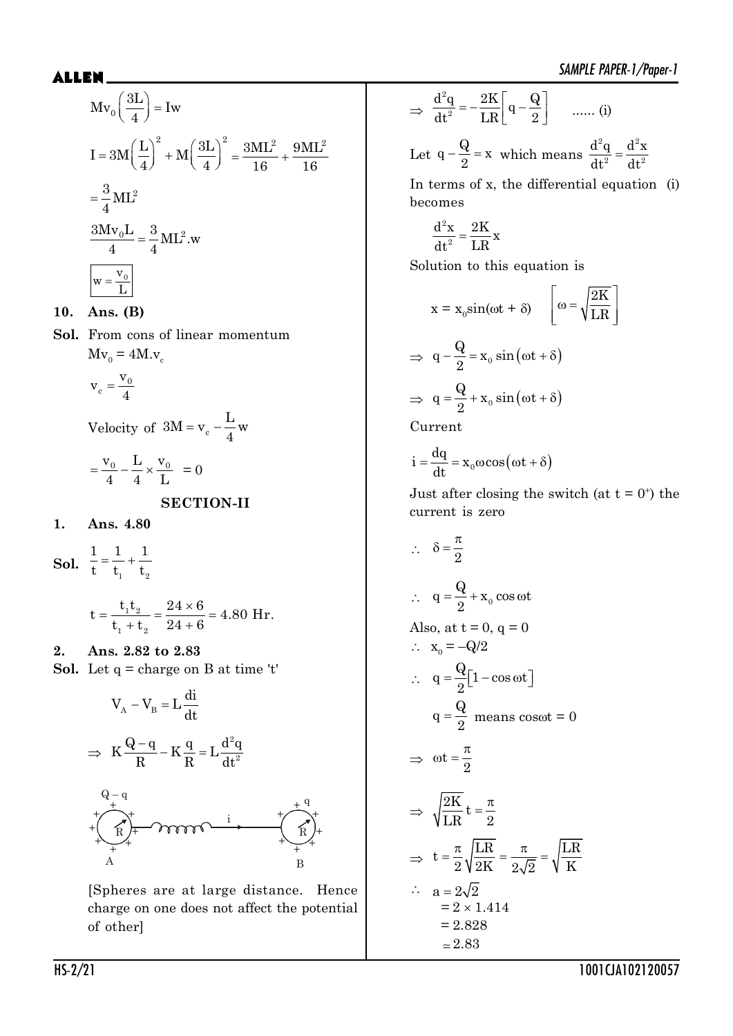$dt^2$  dt

$$
Mv_0\left(\frac{3L}{4}\right) = Iw
$$
  
\n
$$
I = 3M\left(\frac{L}{4}\right)^2 + M\left(\frac{3L}{4}\right)^2 = \frac{3ML^2}{16} + \frac{9ML^2}{16}
$$
  
\n
$$
= \frac{3}{4}ML^2
$$
  
\n
$$
\frac{3Mv_0L}{4} = \frac{3}{4}ML^2.w
$$
  
\n
$$
w = \frac{v_0}{L}
$$

**10. Ans. (B)**

**Sol.** From cons of linear momentum  $Mv_0 = 4M.v_c$ 

$$
v_c = \frac{v_0}{4}
$$

Velocity of  $3M = v_c$  $3M = v_c - \frac{L}{M}$ 4  $=$   $V_c$   $-$ 

$$
=\frac{v_0}{4} - \frac{L}{4} \times \frac{v_0}{L} = 0
$$

**SECTION-II**

- **1. Ans. 4.80**
- **Sol.**  $\frac{1}{t} = \frac{1}{t_1} + \frac{1}{t_2}$  $1 \quad 1 \quad 1$ t  $t_1$  t

$$
t = \frac{t_1 t_2}{t_1 + t_2} = \frac{24 \times 6}{24 + 6} = 4.80
$$
 Hr.

**2. Ans. 2.82 to 2.83 Sol.** Let  $q = charge on B$  at time 't'



[Spheres are at large distance. Hence charge on one does not affect the potential of other]

$$
\Rightarrow \frac{d^2q}{dt^2} = -\frac{2K}{LR} \left[ q - \frac{Q}{2} \right] \quad \dots (i)
$$
  
Let  $q - \frac{Q}{2} = x$  which means  $\frac{d^2q}{dt^2} = \frac{d^2x}{dt^2}$ 

In terms of x, the differential equation (i) becomes

$$
\frac{d^2x}{dt^2} = \frac{2K}{LR}x
$$

Solution to this equation is

$$
x = x_0 \sin(\omega t + \delta) \quad \left[\omega = \sqrt{\frac{2K}{LR}}\right]
$$
  
\n
$$
\Rightarrow q - \frac{Q}{2} = x_0 \sin(\omega t + \delta)
$$
  
\n
$$
\Rightarrow q = \frac{Q}{2} + x_0 \sin(\omega t + \delta)
$$
  
\nCurrent

$$
i = \frac{dq}{dt} = x_0 \omega \cos(\omega t + \delta)
$$

Just after closing the switch (at  $t = 0^+$ ) the current is zero

$$
\therefore \quad \delta = \frac{\pi}{2}
$$
\n
$$
\therefore \quad q = \frac{Q}{2} + x_0 \cos \omega t
$$
\nAlso, at  $t = 0$ ,  $q = 0$ \n
$$
\therefore \quad x_0 = -Q/2
$$
\n
$$
\therefore \quad q = \frac{Q}{2} [1 - \cos \omega t]
$$
\n
$$
q = \frac{Q}{2} \text{ means } \cos \omega t = 0
$$
\n
$$
\Rightarrow \omega t = \frac{\pi}{2}
$$
\n
$$
\Rightarrow \sqrt{\frac{2K}{LR}} t = \frac{\pi}{2}
$$
\n
$$
\Rightarrow t = \frac{\pi}{2} \sqrt{\frac{LR}{2K}} = \frac{\pi}{2\sqrt{2}} = \sqrt{\frac{LR}{K}}
$$
\n
$$
\therefore \quad a = 2\sqrt{2}
$$
\n
$$
= 2 \times 1.414
$$
\n
$$
= 2.828
$$
\n
$$
\approx 2.83
$$

HS-2/21 1001CJA102120057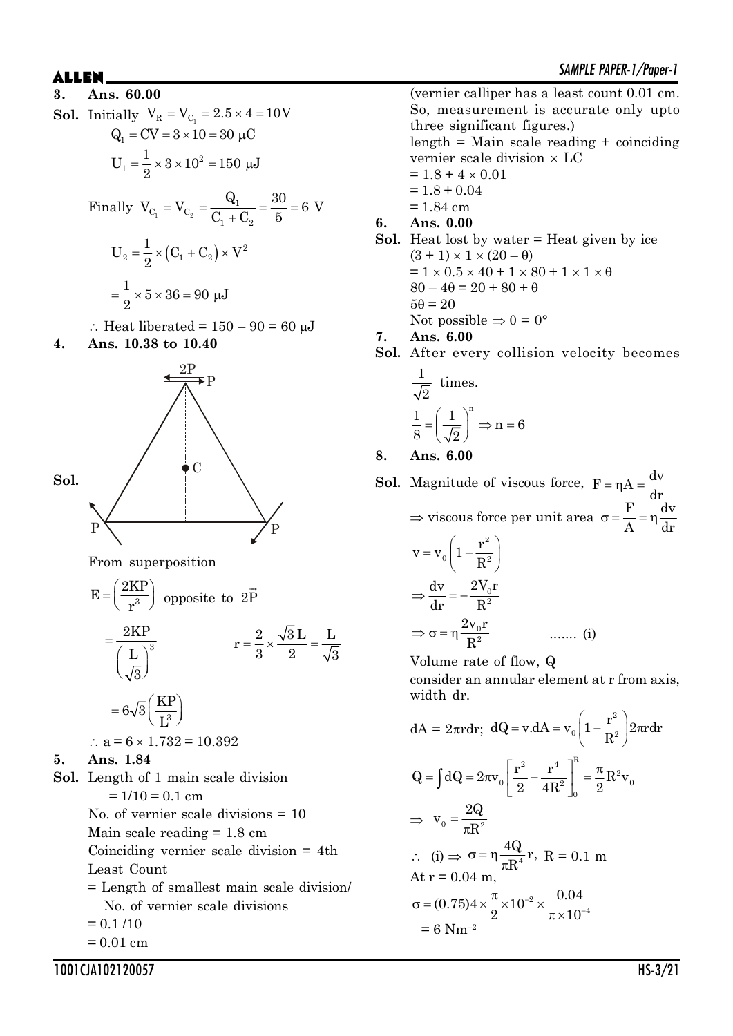SAMPLE PAPER-1/Paper-1 \$//(1 **3. Ans. 60.00 Sol.** Initially  $V_R = V_{C_1} = 2.5 \times 4 = 10V$  $Q_1 = CV = 3 \times 10 = 30 \mu C$ 2 1  $U_1 = \frac{1}{2} \times 3 \times 10^2 = 150 \mu J$ 2  $=\frac{1}{2} \times 3 \times 10^2 = 150 \mu$ Finally  $V_{C_1} = V_{C_2}$  $C_1 = V_{C_2} = \frac{Q_1}{C_1}$  $v_1$   $\sim$   $v_2$  $V_{C_1} = V_{C_2} = \frac{Q_1}{Q_2} = \frac{30}{5} = 6$  V  $C_1 + C_2 = 5$  $=$  $^{+}$  $(C_1 + C_2) \times V^2$  $2 - 2 \cdot (1 - 1)$  $U_2 = \frac{1}{2} \times (C_1 + C_2) \times V$ 2  $=\frac{1}{2}\times (C_1+C_2)\times$  $\frac{1}{2} \times 5 \times 36 = 90 \text{ \mu J}$ 2  $=\frac{1}{2} \times 5 \times 36 = 90 \mu$  $\therefore$  Heat liberated = 150 – 90 = 60 µJ





From superposition

$$
E = \left(\frac{2KP}{r^3}\right) \text{ opposite to } 2\overrightarrow{P}
$$
  
=  $\frac{2KP}{\left(\frac{L}{\sqrt{3}}\right)^3}$   $r = \frac{2}{3} \times \frac{\sqrt{3}L}{2} = \frac{L}{\sqrt{3}}$   
=  $6\sqrt{3} \left(\frac{KP}{L^3}\right)$   
 $\therefore a = 6 \times 1.732 = 10.392$ 

- **5. Ans. 1.84**
- **Sol.** Length of 1 main scale division  $= 1/10 = 0.1$  cm

No. of vernier scale divisions = 10 Main scale reading  $= 1.8$  cm Coinciding vernier scale division = 4th Least Count

= Length of smallest main scale division/ No. of vernier scale divisions

$$
= 0.1 / 10
$$

 $= 0.01$  cm

1001CJA102120057 HS-3/21

(vernier calliper has a least count 0.01 cm. So, measurement is accurate only upto three significant figures.)  $length = Main scale reading + coinciding$ vernier scale division  $\times$  LC  $= 1.8 + 4 \times 0.01$  $= 1.8 + 0.04$  $= 1.84$  cm **6. Ans. 0.00 Sol.** Heat lost by water = Heat given by ice  $(3 + 1) \times 1 \times (20 - \theta)$  $= 1 \times 0.5 \times 40 + 1 \times 80 + 1 \times 1 \times 0$  $80 - 40 = 20 + 80 + \theta$  $5\theta = 20$ Not possible  $\Rightarrow \theta = 0^{\circ}$ **7. Ans. 6.00 Sol.** After every collision velocity becomes

$$
\frac{1}{\sqrt{2}} \text{ times.}
$$

$$
\frac{1}{8} = \left(\frac{1}{\sqrt{2}}\right)^n \Rightarrow n = 6
$$

**8. Ans. 6.00**

**Sol.** Magnitude of viscous force,  $F = \eta A = \frac{dv}{dt}$ dr  $\Rightarrow$  viscous force per unit area  $\sigma = \frac{F}{A} = \eta \frac{dv}{dt}$ A dr  $= v_0 \left( 1 - \frac{r^2}{R^2} \right)$ 2  $0 + D^2$  $v = v_0 \left(1 - \frac{r}{r}\right)$ R  $\Rightarrow \frac{dv}{dx} = -\frac{2v_0}{R^2}$  $dv = 2V_0r$ dr R  $\Rightarrow$   $\sigma$  =  $\eta \frac{2V_0}{R^2}$  $2v_0r$ R ....... (i)

Volume rate of flow, Q

consider an annular element at r from axis, width dr.

$$
dA = 2\pi r dr; \ dQ = v.dA = v_0 \left(1 - \frac{r^2}{R^2}\right) 2\pi r dr
$$
  

$$
Q = \int dQ = 2\pi v_0 \left[\frac{r^2}{2} - \frac{r^4}{4R^2}\right]_0^R = \frac{\pi}{2} R^2 v_0
$$
  

$$
\Rightarrow v_0 = \frac{2Q}{\pi R^2}
$$
  

$$
\therefore \ (i) \Rightarrow \sigma = \eta \frac{4Q}{\pi R^4} r, \ R = 0.1 \ m
$$
  
At  $r = 0.04 \ m$ ,  

$$
\sigma = (0.75) 4 \times \frac{\pi}{2} \times 10^{-2} \times \frac{0.04}{\pi \times 10^{-4}}
$$
  

$$
= 6 \ N m^{-2}
$$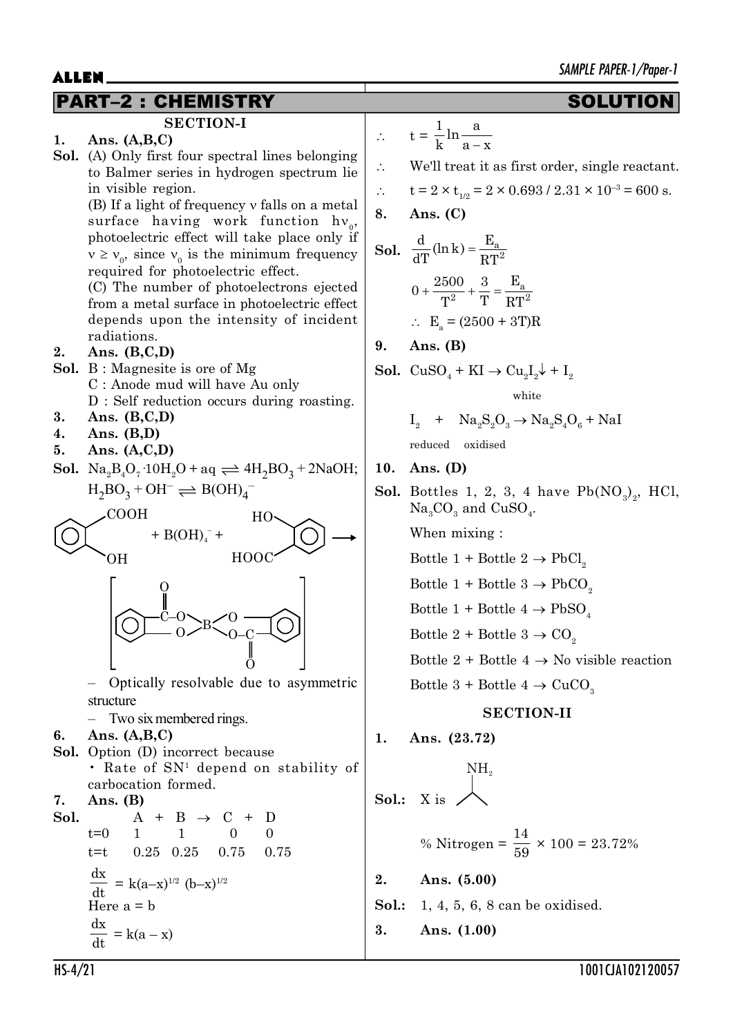## PART–2 : CHEMISTRY SOLUTION

**EXECUTE:**  
\n**SETION-I**  
\n1. Ans. (A,B,C)  
\n**Sol.** (A) Only first four spectral lines belonging to Balmer series in hydrogen spectrum lie in visible region.  
\n(B) If a light of frequency v falls on a metal surface having work function 
$$
h v_0
$$
,  
\n photoelectric effect will take place only if  $v \ge v_0$  since  $v_0$  is the minimum frequency required for photoelectric effect.  
\n(C) The number of photoelectrons ejected from a metal surface in photoelectric effect depends upon the intensity of incident radiations.  
\n2. Ans. (B,C,D)  
\nB: Magnesite is ore of Mg  
\nC: Anode mud will have Au only D : Self reduction occurs during roasting.  
\n3. Ans. (B,C,D)  
\n5. Ans. (A,C,D)  
\n5. Ans. (A,C,D)  
\n5. Ans. (A,C,D)  
\n5. Ans. (A,C,D)  
\n5. Ans. (A,C,D)  
\n5. Ans. (A,C,D)  
\n5. Ans. (A,C,D)  
\n5. Ans. (A,C,D)  
\n6. (Na.  $\frac{B}{2}Q_7 \cdot 10H_2O + aq \rightleftharpoons 4H_2BO_3 + 2NaOH; H_2BO_3 + OH - H_2OOH$ )  
\n6. (200H  
\n $+$  HOOC  
\n $+$  HOOC  
\n $+$  HOOC  
\n $+$  HOOC  
\n $+$  HOOC  
\n $+$  HOOC  
\n $+$  HOOC  
\n $+$  HOOC  
\n $+$  HOOC  
\n $+$  HOOC  
\n $+$  HOOC  
\n $+$  HOOC  
\n $+$  HOOC  
\n $+$  HOOC  
\n $+$  HOOC  
\n $+$  HOOC  
\n $+$  HOOC  
\n $+$  HOOC  
\n $+$  HOOC  
\n $+$  HOOC  
\n $+$  HOOC  
\n $+$  HOOC  
\n $+$  HOOC  
\n $+$  HOOC  
\n $+$  HOOC  
\n $+$  HOOC  
\n $+$  HOOC  
\n $+$  HOOC  
\n $+$  HAOA in the  $+$  HAOA in the  $+$  HAOA in

$$
\therefore \qquad t = \frac{1}{k} \ln \frac{a}{a - x}
$$

We'll treat it as first order, single reactant.

$$
\therefore \qquad t = 2 \times t_{1/2} = 2 \times 0.693 / 2.31 \times 10^{-3} = 600 \text{ s}.
$$

$$
8. \quad \text{Ans. (C)}
$$

**Sol.** 
$$
\frac{d}{dT} (\ln k) = \frac{E_a}{RT^2}
$$
  
 $0 + \frac{2500}{T^2} + \frac{3}{T} = \frac{E_a}{RT^2}$ 

$$
\therefore \quad E_{\rm a} = (2500 + 3 \text{T}) \text{R}
$$

**9. Ans. (B)**

**Sol.** 
$$
CuSO_4 + KI \rightarrow Cu_2I_2 + I_2
$$

white

$$
I_2 + Na_2S_2O_3 \rightarrow Na_2S_4O_6 + NaI
$$

$$
reduced\quad oxidised
$$

### **10. Ans. (D)**

**Sol.** Bottles 1, 2, 3, 4 have  $Pb(NO<sub>3</sub>)<sub>2</sub>$ , HCl,  ${\rm Na_{_3}CO_{_3}}$  and  ${\rm CuSO_{_4}.}$ 

When mixing :

- Bottle 1 + Bottle 2  $\rightarrow$  PbCl<sub>2</sub>
- Bottle 1 + Bottle 3  $\rightarrow$  PbCO<sub>2</sub>

Bottle 1 + Bottle 4  $\rightarrow$  PbSO<sub>4</sub>

Bottle 2 + Bottle 3  $\rightarrow$  CO<sub>2</sub>

Bottle 2 + Bottle 4  $\rightarrow$  No visible reaction

Bottle 3 + Bottle 4  $\rightarrow$  CuCO<sub>3</sub>

## **SECTION-II**

Ans.  $(23.72)$ 

**Sol.**: X is 
$$
\bigwedge^{NH_2}
$$

% Nitrogen = 
$$
\frac{14}{59} \times 100 = 23.72\%
$$

**2. Ans. (5.00)**

- **Sol.:** 1, 4, 5, 6, 8 can be oxidised.
- **3. Ans. (1.00)**

 $\left($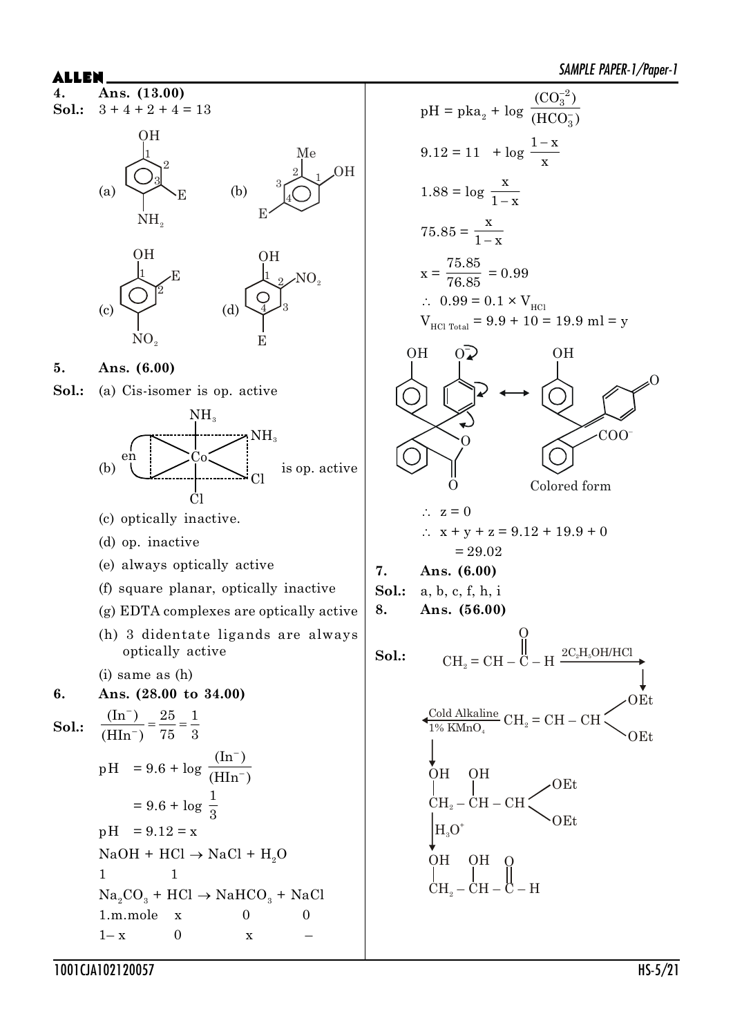

**4. Ans. (13.00) Sol.:**  $3 + 4 + 2 + 4 = 13$ 





**5. Ans. (6.00)**

**Sol.:** (a) Cis-isomer is op. active



| AL E                    | Answer factor (7/npqF)                          |   |   |
|-------------------------|-------------------------------------------------|---|---|
| Sol. 3 + 4 + 2 + 4 = 13 | pH = pka <sub>2</sub> + log $\frac{(C_0)^2}{3}$ |   |   |
| Col: 3 + 4 + 2 + 4 = 13 | pH = pka <sub>2</sub> + log $\frac{(C_0)^2}{3}$ |   |   |
| Col: 3 + 4 + 2 + 4 = 13 | pH = pka <sub>2</sub> + log $\frac{(C_0)^2}{x}$ |   |   |
| Col: 3 + 4 + 2 + 4 = 13 | pH = pka <sub>2</sub> + log $\frac{(C_0)^2}{x}$ |   |   |
| Col: 3                  | Mod                                             | 2 | 2 |
| Col: 3                  | 1.88 = log $\frac{x}{1-x}$                      |   |   |
| Col: 3                  | 1.88 = log $\frac{x}{1-x}$                      |   |   |
| Col: 3                  | 1.88 = 10g $\frac{x}{1-x}$                      |   |   |
| Col: 3                  | 1.88 = 10g $\frac{x}{1-x}$                      |   |   |
| Col: 3                  | 1.88 = 10g $\frac{x}{1-x}$                      |   |   |
| Col: 3                  | 1.88 = 10g $\frac{x}{1-x}$                      |   |   |
| Col: 3                  | 1.88 = 10g $\frac{x}{1-x}$                      |   |   |
| Col: 3                  | 1.88 = 10g $\frac{x}{1-x}$                      |   |   |
| Col: 3                  | 1.88 = 10g $\frac{x}{1-x}$                      |   |   |
| Col: 3                  | 1.88 = 10g $\frac{x}{1-x}$                      |   |   |
| Col: 3                  | 1.88 = 10g <math< td=""></math<>                |   |   |

**7. Ans. (6.00)**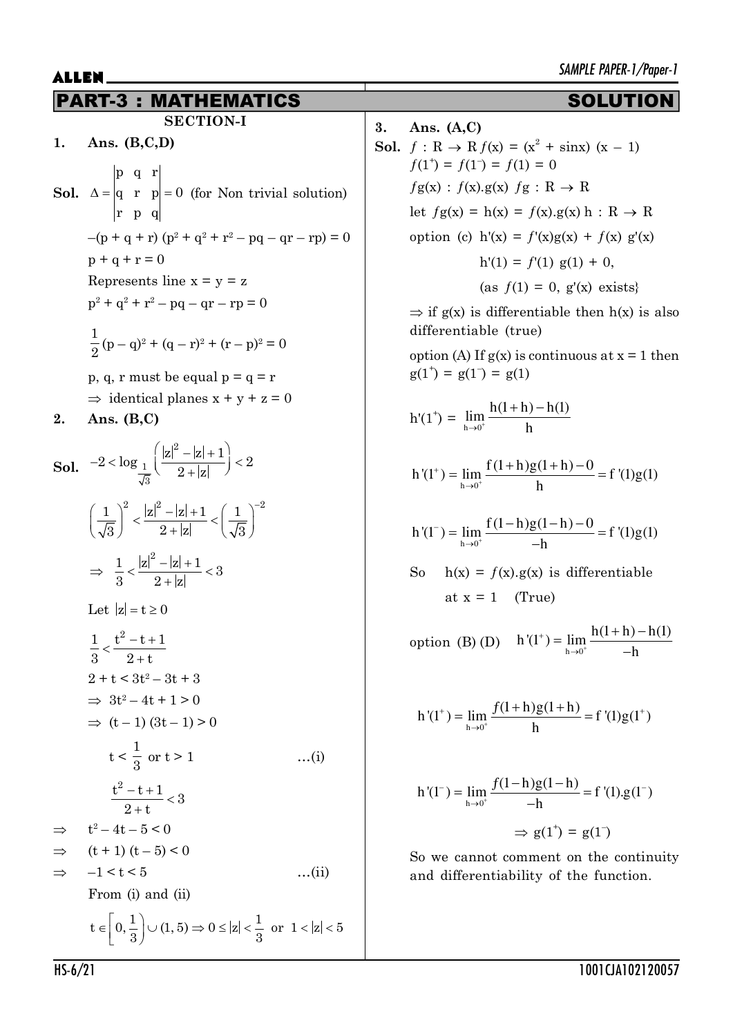## PART-3 : MATHEMATICS SOLUTION

**SECTION-I**

- **1. Ans. (B,C,D) Sol.** p q r q r  $p = 0$ rpq  $\Delta = |q \ r \ p| = 0$  (for Non trivial solution)  $-(p + q + r)(p^2 + q^2 + r^2 - pq - qr - rp) = 0$  $p + q + r = 0$ Represents line  $x = y = z$  $p^2 + q^2 + r^2 - pq - qr - rp = 0$ 1  $\frac{1}{2}(p-q)^2 + (q-r)^2 + (r-p)^2 = 0$ p, q, r must be equal  $p = q = r$ 
	- $\Rightarrow$  identical planes  $x + y + z = 0$
- **2. Ans. (B,C)**

**Sol.** 2 1 3  $2 < \log_{1} \left( \frac{|z|^2 - |z| + 1}{2} \right) < 2$  $2+|z|$  $(|z|^2 - |z| + 1)$  $-2 < \log_{10} \left( \frac{12}{2 + |z|} \right) < 2$ 1  $\Big|^2$   $|z|^2 - |z| + 1$  (1)<sup>-2</sup>  $\sqrt{3}$  2+|z|  $\sqrt{3}$  $\left(\frac{1}{\sqrt{3}}\right)^{\!2} < \frac{|z|^2 - |z| + 1}{2 + |z|} < \left(\frac{1}{\sqrt{3}}\right)^{\!-1}$  $\frac{1}{2} < \frac{|z|^2 - |z| + 1}{2} < 3$  $3 \t2+|z|$  $\Rightarrow \frac{1}{2} < \frac{|z|^2 - |z| + 1}{2} <$  $^{+}$ Let  $|z| = t \ge 0$ 1  $t^2 - t + 1$  $3$   $2+t$  $\frac{t^2-t+1}{2}$  $^{+}$  $2 + t < 3t^2 - 3t + 3$  $\Rightarrow$  3t<sup>2</sup> - 4t + 1 > 0  $\Rightarrow$  (t – 1)  $(3t - 1) > 0$  $t<$ 1  $\frac{1}{3}$  or t > 1 …(i)  $\frac{t^2-t+1}{2}$  < 3  $2 + t$  $\frac{-t+1}{-t}$  $^{+}$  $\Rightarrow$  $2-4t-5\leq 0$  $\Rightarrow$  (t + 1) (t – 5) < 0  $\Rightarrow$   $-1 < t < 5$  …(ii) From (i) and (ii)  $\epsilon \left[0, \frac{1}{3}\right] \cup (1, 5) \Rightarrow 0 \le |z| < \frac{1}{3} \text{ or } 1 < |z| < \epsilon$  $t \in \left[0, \frac{1}{2}\right] \cup (1, 5) \Rightarrow 0 \leq |z| < \frac{1}{2}$  or  $1 < |z| < 5$  $3^{3}$ 

## **3. Ans. (A,C) Sol.**  $f: \mathbb{R} \to \mathbb{R} f(\mathbf{x}) = (\mathbf{x}^2 + \sin \mathbf{x}) (\mathbf{x} - 1)$  $f(1^+) = f(1^-) = f(1) = 0$

$$
fg(x) : f(x).g(x) fg : R \rightarrow R
$$
  
let  $fg(x) = h(x) = f(x).g(x) h : R \rightarrow R$   
option (c)  $h'(x) = f'(x)g(x) + f(x) g'(x)$   
 $h'(1) = f'(1) g(1) + 0,$   
(as  $f(1) = 0$ ,  $g'(x)$  exists}

 $\Rightarrow$  if g(x) is differentiable then h(x) is also differentiable (true)

option (A) If  $g(x)$  is continuous at  $x = 1$  then  $g(1^+) = g(1^-) = g(1)$ 

$$
h'(1^{+}) = \lim_{h \to 0^{+}} \frac{h(1+h) - h(1)}{h}
$$
  

$$
h'(1^{+}) = \lim_{h \to 0^{+}} \frac{f(1+h)g(1+h) - 0}{h} = f'(1)g(1)
$$
  

$$
h'(1^{-}) = \lim_{h \to 0^{+}} \frac{f(1-h)g(1-h) - 0}{-h} = f'(1)g(1)
$$

So 
$$
h(x) = f(x).g(x)
$$
 is differentiable  
at  $x = 1$  (True)

option (B) (D)  $h'(1^+) = \lim_{h \to 0^+}$  $^{+}$  $\rightarrow$  $=$  lim  $\frac{h(1+h)-h}{h}$  $h \rightarrow 0^+$   $h'(1^+) = \lim_{h \to 0} \frac{h(1+h) - h(1)}{h(h)}$ h

$$
h'(1^+) = \lim_{h \to 0^+} \frac{f(1+h)g(1+h)}{h} = f'(1)g(1^+)
$$

$$
h'(1^{-}) = \lim_{h \to 0^{+}} \frac{f(1-h)g(1-h)}{-h} = f'(1).g(1^{-})
$$

$$
\Rightarrow g(1^{+}) = g(1^{-})
$$

So we cannot comment on the continuity and differentiability of the function.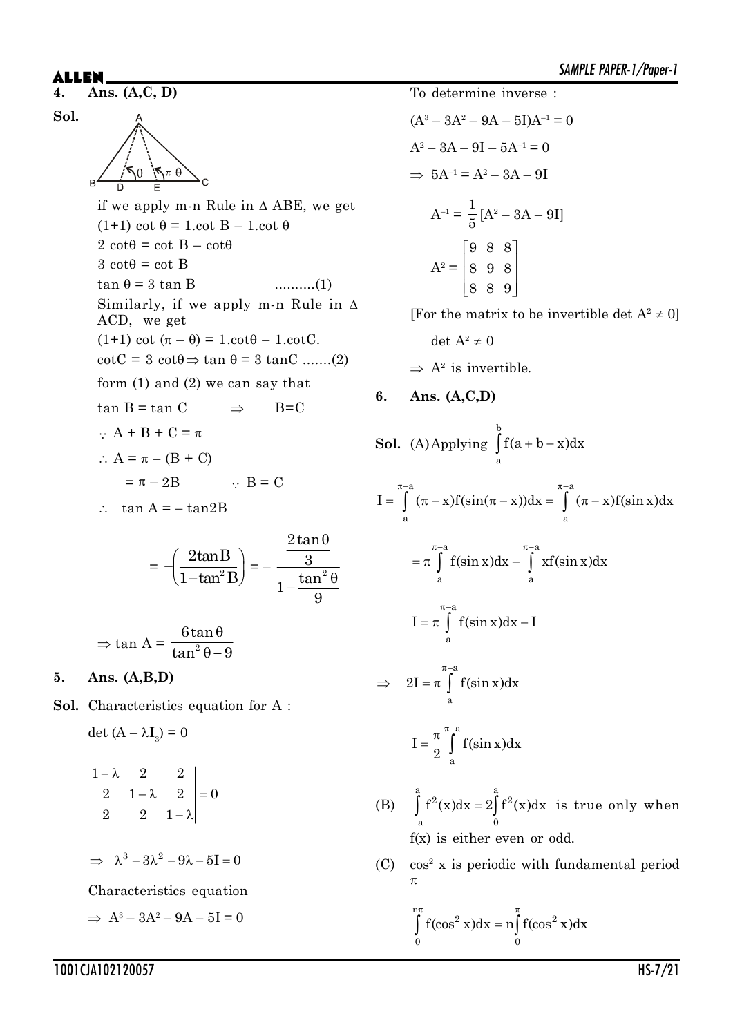### **ALLEN** Ans.  $(A, C, D)$

 $\overline{4}$ .

Sol. if we apply m-n Rule in  $\triangle$  ABE, we get  $(1+1) \cot \theta = 1 \cdot \cot B - 1 \cdot \cot \theta$  $2 \cot\theta = \cot B - \cot\theta$  $3 \cot \theta = \cot B$  $\tan \theta = 3 \tan B$  $\ldots \ldots \ldots (1)$ Similarly, if we apply m-n Rule in  $\Delta$ ACD, we get  $(1+1) \cot (\pi - \theta) = 1 \cdot \cot \theta - 1 \cdot \cot \theta$ .  $\cot C = 3 \cot \theta \Rightarrow \tan \theta = 3 \tan C \dots (2)$ form  $(1)$  and  $(2)$  we can say that  $tan B = tan C$  $B=C$  $\Rightarrow$  $\therefore$  A + B + C =  $\pi$  $\therefore A = \pi - (B + C)$  $=\pi-2B$  $\therefore$  B = C  $\therefore$  tan A = - tan2B

$$
= -\left(\frac{2\tan B}{1-\tan^2 B}\right) = -\frac{\frac{2\tan\theta}{3}}{1-\frac{\tan^2\theta}{9}}
$$
  
tan A =  $\frac{6\tan\theta}{\tan^2\theta - 9}$ 

 $\overline{5}$ . Ans.  $(A,B,D)$ 

 $\Rightarrow$ 

Sol. Characteristics equation for A:

det  $(A - \lambda I_2) = 0$ 

$$
\begin{vmatrix}\n1-\lambda & 2 & 2 \\
2 & 1-\lambda & 2 \\
2 & 2 & 1-\lambda\n\end{vmatrix} = 0
$$

 $\Rightarrow \lambda^3 - 3\lambda^2 - 9\lambda - 5I = 0$ 

Characteristics equation

$$
\Rightarrow A^3 - 3A^2 - 9A - 5I = 0
$$

To determine inverse :  $(A^3 - 3A^2 - 9A - 5I)A^{-1} = 0$  $A^2 - 3A - 9I - 5A^{-1} = 0$  $\Rightarrow$  5A<sup>-1</sup> = A<sup>2</sup> - 3A - 9I  $A^{-1} = \frac{1}{5} [A^2 - 3A - 9I]$  $\begin{bmatrix} 9 & 8 & 8 \end{bmatrix}$  $A^2 = | 8 \ 9 \ 8$  $\begin{array}{|ccc|} 8 & 8 & 9 \end{array}$ 

[For the matrix to be invertible det  $A^2 \neq 0$ ]

$$
\det A^2 \neq 0
$$

 $\Rightarrow$  A<sup>2</sup> is invertible.

### $6.$ Ans.  $(A, C, D)$

**Sol.** (A) Applying 
$$
\int_{a}^{b} f(a+b-x)dx
$$
  
\n
$$
I = \int_{a}^{\pi-a} (\pi-x)f(\sin(\pi-x))dx = \int_{a}^{\pi-a} (\pi-x)f(\sin x)dx
$$
  
\n
$$
= \pi \int_{a}^{\pi-a} f(\sin x)dx - \int_{a}^{\pi-a} xf(\sin x)dx
$$
  
\n
$$
I = \pi \int_{a}^{\pi-a} f(\sin x)dx - I
$$
  
\n
$$
\Rightarrow 2I = \pi \int_{a}^{\pi-a} f(\sin x)dx
$$
  
\n
$$
I = \frac{\pi}{2} \int_{a}^{\pi-a} f(\sin x)dx
$$
  
\n(B) 
$$
\int_{a}^{a} f^{2}(x)dx = 2 \int_{a}^{a} f^{2}(x)dx
$$
 is true only when

- $\int_{-a}$  $\frac{1}{0}$  $f(x)$  is either even or odd.
- $\cos^2 x$  is periodic with fundamental period  $(C)$  $\pi$

$$
\int_{0}^{n\pi} f(\cos^2 x) dx = n \int_{0}^{\pi} f(\cos^2 x) dx
$$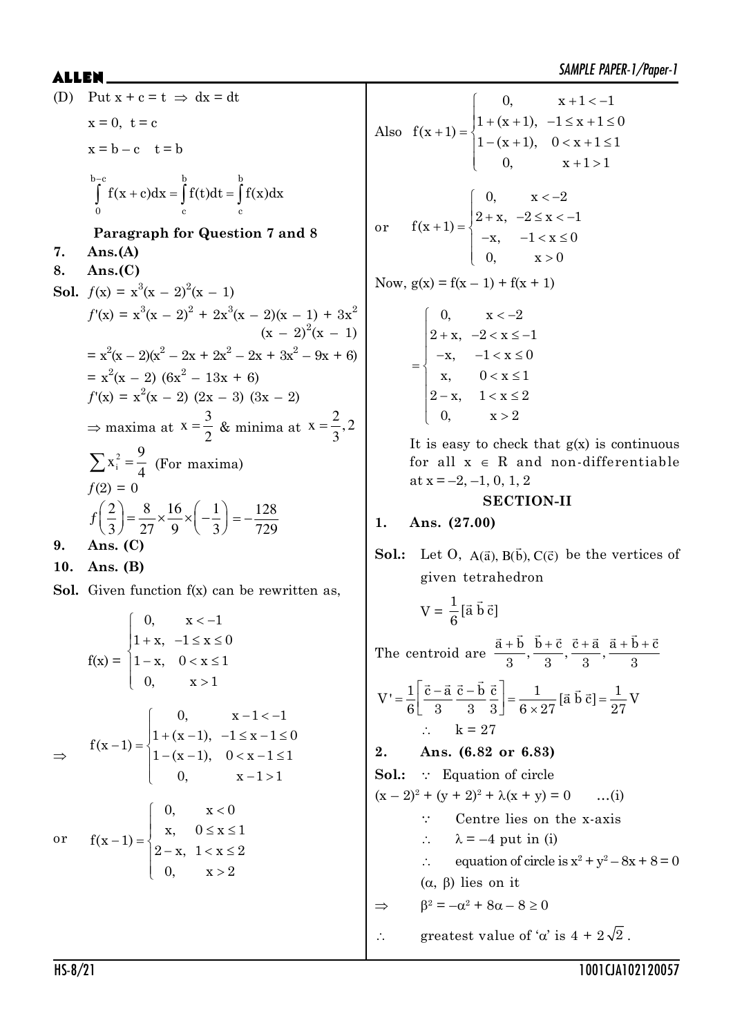$\begin{cases} 0, & x+1 < - \end{cases}$  $1 + (x + 1), -1 \le x + 1 \le$ 

 $f(x+1) = \begin{cases} 1 + (x+1), & -1 \le x+1 \le 0 \\ 1 & 0 \end{cases}$ 

0,  $x + 1 < -1$ 

 $1-(x+1), \quad 0 < x+1 \le$  $\begin{pmatrix} 0, & x+1 \end{pmatrix}$ 

 $1 - (x + 1), \quad 0 < x + 1 \leq 1$ 0,  $x+1>1$ 

SAMPLE PAPER-1/Paper-1 \$//(1 (D) Put  $x + c = t \implies dx = dt$  $x = 0$ ,  $t = c$  $x = b - c$   $t = b$  $b-c$  b b  $\rm{0}$  c c  $f(x + c)dx = \int f(t)dt = \int f(x)dx$  $\overline{a}$  $\int f(x+c)dx = \int f(t)dt =$ **Paragraph for Question 7 and 8 7. Ans.(A) 8. Ans.(C) Sol.**  $f(x) = x^3(x - 2)^2(x - 1)$  $f'(x) = x^3(x - 2)^2 + 2x^3(x - 2)(x - 1) + 3x^2$  $(x - 2)^2(x - 1)$  $= x^2(x - 2)(x^2 - 2x + 2x^2 - 2x + 3x^2 - 9x + 6)$  $= x^2(x - 2) (6x^2 - 13x + 6)$  $f'(x) = x^2(x - 2) (2x - 3) (3x - 2)$  $\Rightarrow$  maxima at  $x=\frac{3}{2}$ 2  $=\frac{3}{2}$  & minima at  $x=\frac{2}{3}$ , 2 3  $\equiv$ 2 i  $x_i^2 = \frac{9}{4}$  $\sum x_i^2 = \frac{9}{4}$  (For maxima)  $f(2) = 0$  $f\left(\frac{2}{5}\right) = \frac{8}{25} \times \frac{16}{5} \times \left(-\frac{1}{5}\right)$  $\left(\frac{2}{3}\right) = \frac{8}{27} \times \frac{16}{9} \times \left(-\frac{1}{3}\right) = -\frac{128}{729}$ 729  $=$   $-$ **9. Ans. (C) 10. Ans. (B) Sol.** Given function  $f(x)$  can be rewritten as,  $f(x) =$  $0, \quad x < -1$  $1 + x$ ,  $-1 \le x \le 0$  $1-x$ ,  $0 < x \leq 1$ 0,  $x > 1$  $\begin{bmatrix} 0, & x < -1 \end{bmatrix}$  $\begin{cases} 1 + x, & -1 \le x \le 0 \\ 1, & -1 \le x \le 1 \end{cases}$  $1-x, \quad 0 < x \le$  $\begin{pmatrix} 0, & x \end{pmatrix}$  $\Rightarrow$  $\begin{cases} 0, & x-1 < - \end{cases}$  $(-1) = \begin{cases} 1 + (x - 1), & -1 \le x - 1 \le x - 1 \le x - 1 \le x - 1 \le x - 1 \le x - 1 \le x - 1 \le x - 1 \le x - 1 \le x - 1 \le x - 1 \le x - 1 \le x - 1 \le x - 1 \le x - 1 \le x - 1 \le x - 1 \le x - 1 \le x - 1 \le x - 1 \le x - 1 \le x - 1 \le x - 1 \le x - 1 \le x - 1 \le x - 1 \le x - 1 \le x - 1 \le x - 1 \le x - 1 \le x - 1 \le x - 1 \le x - 1 \$  $1-(x-1), \quad 0 < x-1 \le$  $\begin{cases} 0, & x-1>1 \end{cases}$ 0,  $x - 1 < -1$  $f(x-1) = \begin{cases} 1 + (x-1), & -1 \le x-1 \le 0 \\ 1 & 0 \end{cases}$  $1 - (x - 1), \quad 0 < x - 1 \leq 1$ 0,  $x - 1 > 1$ 

 $0, \quad x < 0$ 

 $\begin{bmatrix} 0, & x \end{bmatrix}$  $\begin{cases} x, & 0 \leq x \leq 1 \end{cases}$ 

 $2-x$ ,  $1 < x \leq 2$ 0,  $x > 2$ 

 $2-x, 1 < x \le$  $\begin{pmatrix} 0, & x \end{pmatrix}$ 

 $f(x-1) = \begin{cases} x, & 0 \le x \le 1 \\ 0, & x > 1 \end{cases}$ 

 $-1) = \{$ 

or 
$$
f(x+1) = \begin{cases} 0, & x < -2 \\ 2+x, & -2 \le x < -1 \\ -x, & -1 < x \le 0 \\ 0, & x > 0 \end{cases}
$$
  
\nNow,  $g(x) = f(x-1) + f(x+1)$   
\n
$$
= \begin{cases} 0, & x < -2 \\ 2+x, & -2 < x \le -1 \\ -x, & -1 < x \le 0 \\ x, & 0 < x \le 1 \end{cases}
$$
\n
$$
= \begin{cases} 0, & x < -2 \\ 2+x, & -2 < x \le -1 \\ -x, & -1 < x \le 0 \\ x, & 0 < x \le 1 \end{cases}
$$
\nIt is easy to check that  $g(x)$  is continuous for all  $x \in \mathbb{R}$  and non-differentiable at  $x = -2, -1, 0, 1, 2$   
\n**SECTION-II**  
\n**Ans. (27.00)**  
\n**Sol.**: Let O, A( $\vec{a}$ ), B( $\vec{b}$ ), C( $\vec{c}$ ) be the vertices of given tetrahedron  
\n
$$
V = \frac{1}{6} [\vec{a} \vec{b} \vec{c}]
$$

Also

 $+1) = \{$ 

The centroid are  $\frac{\vec{a} + \vec{b}}{2}$ ,  $\frac{\vec{b} + \vec{c}}{2}$ ,  $\frac{\vec{c} + \vec{a}}{2}$ ,  $\frac{\vec{a} + \vec{b} + \vec{c}}{2}$ 333 3  $\vec{a} + \vec{b}$   $\vec{b} + \vec{c}$   $\vec{c} + \vec{a}$   $\vec{a} + \vec{b} + \vec{c}$ 

$$
V' = \frac{1}{6} \left[ \frac{\vec{c} - \vec{a}}{3} \frac{\vec{c} - \vec{b}}{3} \frac{\vec{c}}{3} \right] = \frac{1}{6 \times 27} [\vec{a} \ \vec{b} \ \vec{c}] = \frac{1}{27} V
$$
  
 
$$
\therefore \qquad k = 27
$$

**2. Ans. (6.82 or 6.83)**

**Sol.:**  $\because$  **Equation of circle**  $(x - 2)^2 + (y + 2)^2 + \lambda(x + y) = 0$  ...(i) ' Centre lies on the x-axis  $\therefore$   $\lambda = -4$  put in (i)  $\therefore$  equation of circle is  $x^2 + y^2 - 8x + 8 = 0$  $(\alpha, \beta)$  lies on it  $\Rightarrow$   $\beta^2 = -\alpha^2 + 8\alpha - 8 \ge 0$  $\therefore$  greatest value of ' $\alpha$ ' is  $4 + 2\sqrt{2}$ .

or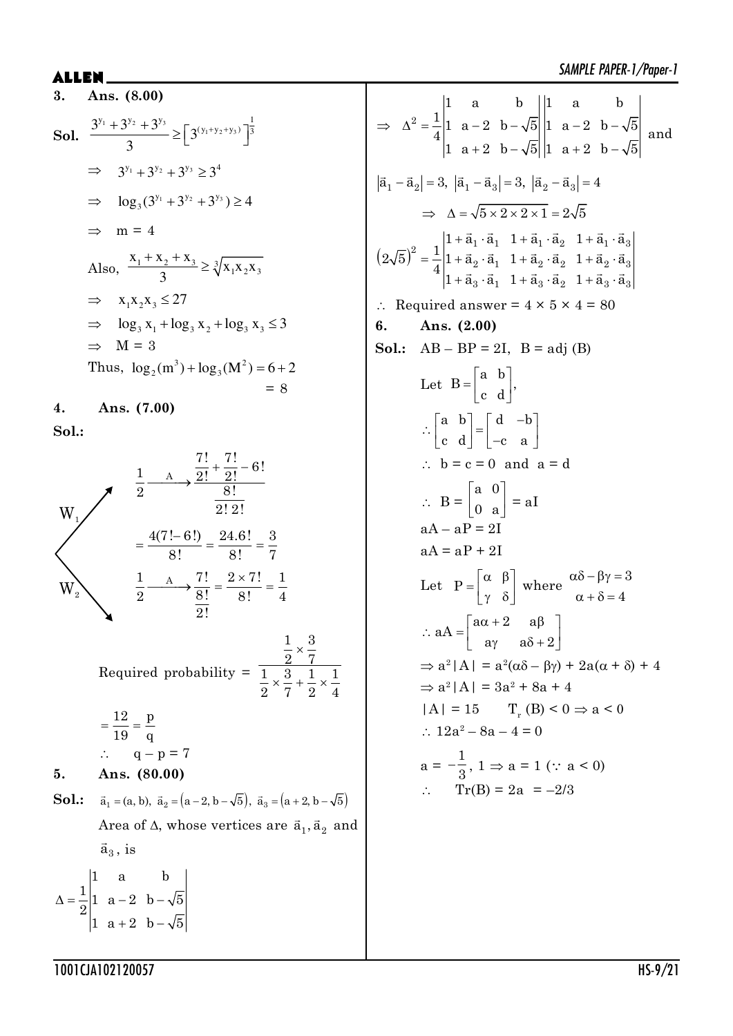### **ALLEM**

 $\boldsymbol{Q}$ 

3. Ans. (8.00)  
\nSol. 
$$
\frac{3^{y_1} + 3^{y_2} + 3^{y_3}}{3} \ge \left[3^{(y_1 + y_2 + y_3)}\right]^{\frac{1}{3}}
$$
\n
$$
\Rightarrow 3^{y_1} + 3^{y_2} + 3^{y_3} \ge 3^4
$$
\n
$$
\Rightarrow \log_3(3^{y_1} + 3^{y_2} + 3^{y_3}) \ge 4
$$
\n
$$
\Rightarrow m = 4
$$
\nAlso, 
$$
\frac{x_1 + x_2 + x_3}{3} \ge \sqrt[3]{x_1x_2x_3}
$$
\n
$$
\Rightarrow x_1x_2x_3 \le 27
$$
\n
$$
\Rightarrow \log_3 x_1 + \log_3 x_2 + \log_3 x_3 \le 3
$$
\n
$$
\Rightarrow M = 3
$$
\nThus, 
$$
\log_2(m^3) + \log_3(M^2) = 6 + 2
$$
\n
$$
= 8
$$

 $\boldsymbol{4}$ . Ans. (7.00) Sol.:



Required probability =  $\frac{\frac{1}{2} \times \frac{3}{7}}{\frac{1}{2} \times \frac{3}{7} + \frac{1}{2} \times \frac{1}{4}}$ 

$$
= \frac{12}{19} = \frac{p}{q}
$$
  
\n
$$
\therefore \quad q - p = 7
$$

5. Ans. 
$$
(80.00)
$$

**Sol.:**  $\vec{a}_1 = (a, b), \ \vec{a}_2 = (a - 2, b - \sqrt{5}), \ \vec{a}_3 = (a + 2, b - \sqrt{5})$ Area of  $\Delta,$  whose vertices are  $\vec{a}_1, \vec{a}_2$  and  $\vec{a}_3$ , is

 $\Delta = \frac{1}{2} \begin{vmatrix} 1 & a & b \\ 1 & a-2 & b-\sqrt{5} \\ 1 & a+2 & b-\sqrt{5} \end{vmatrix}$ 

$$
\Rightarrow \Delta^2 = \frac{1}{4} \begin{vmatrix} 1 & a & b \\ 1 & a-2 & b-\sqrt{5} \\ 1 & a+2 & b-\sqrt{5} \end{vmatrix} \begin{vmatrix} 1 & a & b \\ 1 & a-2 & b-\sqrt{5} \\ 1 & a+2 & b-\sqrt{5} \end{vmatrix} \text{ and}
$$
  
\n
$$
|\vec{a}_1 - \vec{a}_2| = 3, |\vec{a}_1 - \vec{a}_3| = 3, |\vec{a}_2 - \vec{a}_3| = 4
$$
  
\n
$$
\Rightarrow \Delta = \sqrt{5 \times 2 \times 2 \times 1} = 2\sqrt{5}
$$
  
\n
$$
(2\sqrt{5})^2 = \frac{1}{4} \begin{vmatrix} 1 + \vec{a}_1 \cdot \vec{a}_1 & 1 + \vec{a}_1 \cdot \vec{a}_2 & 1 + \vec{a}_1 \cdot \vec{a}_3 \\ 1 + \vec{a}_2 \cdot \vec{a}_1 & 1 + \vec{a}_2 \cdot \vec{a}_2 & 1 + \vec{a}_2 \cdot \vec{a}_3 \\ 1 + \vec{a}_3 \cdot \vec{a}_1 & 1 + \vec{a}_3 \cdot \vec{a}_2 & 1 + \vec{a}_3 \cdot \vec{a}_3 \end{vmatrix}
$$
  
\n
$$
\therefore \text{ Required answer } = 4 \times 5 \times 4 = 80
$$
  
\n**6.** Ans. (2.00)  
\n**Sol:** AB - BP = 2I, B = adj (B)  
\nLet B =  $\begin{bmatrix} a & b \\ c & d \end{bmatrix}$ ,  
\n
$$
\therefore \begin{bmatrix} a & b \\ c & d \end{bmatrix} = \begin{bmatrix} d & -b \\ -c & a \end{bmatrix}
$$
  
\n
$$
\therefore \begin{bmatrix} a & b \\ c & d \end{bmatrix} = aI
$$
  
\n
$$
aA - aP = 2I
$$
  
\n
$$
aA = aP + 2I
$$
  
\nLet P =  $\begin{bmatrix} \alpha & \beta \\ \gamma & \delta \end{bmatrix}$  where  $\alpha\delta - \beta\gamma = 3$   
\n
$$
\therefore aA = \begin{bmatrix} a\alpha + 2 & a\beta \\ a\gamma & a\delta + 2 \end{bmatrix}
$$
  
\n

 $\Rightarrow$ 

 $\ddot{\cdot}$ 6.

1001CJA102120057